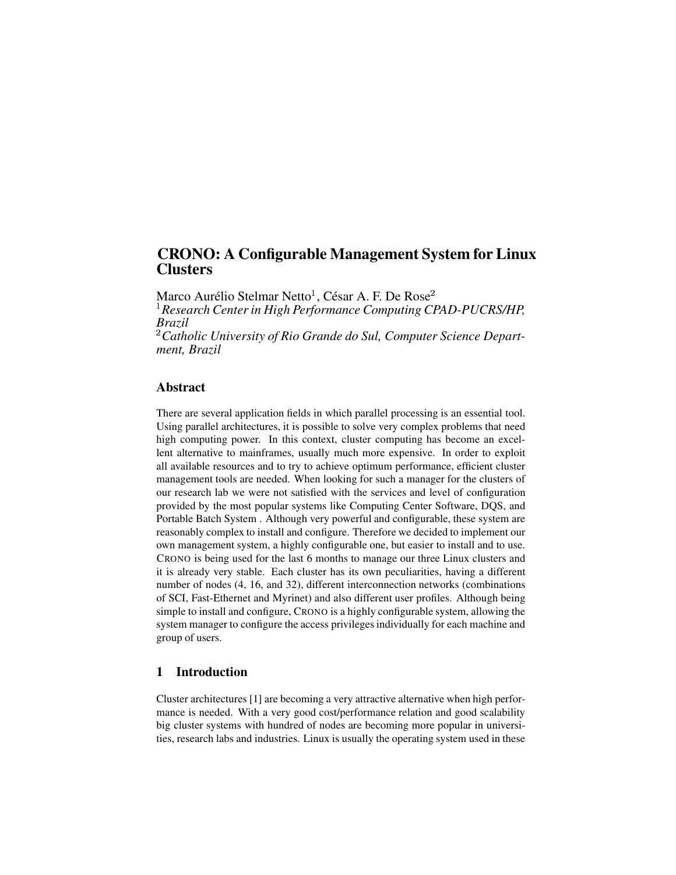# **CRONO: A Configurable Management System for Linux Clusters**

Marco Aurélio Stelmar Netto $^1$ , César A. F. De Rose $^2$  *Research Centerin High Performance Computing CPAD-PUCRS/HP, Brazil Catholic University of Rio Grande do Sul, Computer Science Department, Brazil*

### **Abstract**

There are several application fields in which parallel processing is an essential tool. Using parallel architectures, it is possible to solve very complex problems that need high computing power. In this context, cluster computing has become an excellent alternative to mainframes, usually much more expensive. In order to exploit all available resources and to try to achieve optimum performance, efficient cluster management tools are needed. When looking for such a manager for the clusters of our research lab we were not satisfied with the services and level of configuration provided by the most popular systems like Computing Center Software, DQS, and Portable Batch System . Although very powerful and configurable, these system are reasonably complex to install and configure. Therefore we decided to implement our own management system, a highly configurable one, but easier to install and to use. CRONO is being used for the last 6 months to manage our three Linux clusters and it is already very stable. Each cluster has its own peculiarities, having a different number of nodes (4, 16, and 32), different interconnection networks (combinations of SCI, Fast-Ethernet and Myrinet) and also different user profiles. Although being simple to install and configure, CRONO is a highly configurable system, allowing the system manager to configure the access privileges individually for each machine and group of users.

# **1 Introduction**

Cluster architectures [1] are becoming a very attractive alternative when high performance is needed. With a very good cost/performance relation and good scalability big cluster systems with hundred of nodes are becoming more popular in universities, research labs and industries. Linux is usually the operating system used in these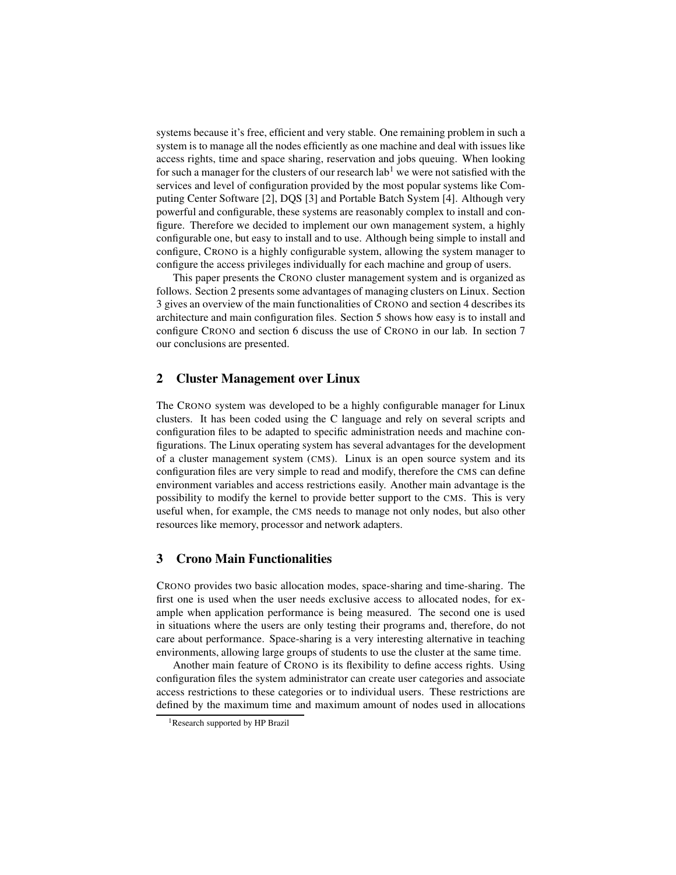systems because it's free, efficient and very stable. One remaining problem in such a system is to manage all the nodes efficiently as one machine and deal with issues like access rights, time and space sharing, reservation and jobs queuing. When looking for such a manager for the clusters of our research  $\text{lab}^1$  we were not satisfied with the services and level of configuration provided by the most popular systems like Computing Center Software [2], DQS [3] and Portable Batch System [4]. Although very powerful and configurable, these systems are reasonably complex to install and configure. Therefore we decided to implement our own management system, a highly configurable one, but easy to install and to use. Although being simple to install and configure, CRONO is a highly configurable system, allowing the system manager to configure the access privileges individually for each machine and group of users.

This paper presents the CRONO cluster management system and is organized as follows. Section 2 presents some advantages of managing clusters on Linux. Section 3 gives an overview of the main functionalities of CRONO and section 4 describes its architecture and main configuration files. Section 5 shows how easy is to install and configure CRONO and section 6 discuss the use of CRONO in our lab. In section 7 our conclusions are presented.

### **2 Cluster Management over Linux**

The CRONO system was developed to be a highly configurable manager for Linux clusters. It has been coded using the C language and rely on several scripts and configuration files to be adapted to specific administration needs and machine configurations. The Linux operating system has several advantages for the development of a cluster management system (CMS). Linux is an open source system and its configuration files are very simple to read and modify, therefore the CMS can define environment variables and access restrictions easily. Another main advantage is the possibility to modify the kernel to provide better support to the CMS. This is very useful when, for example, the CMS needs to manage not only nodes, but also other resources like memory, processor and network adapters.

### **3 Crono Main Functionalities**

CRONO provides two basic allocation modes, space-sharing and time-sharing. The first one is used when the user needs exclusive access to allocated nodes, for example when application performance is being measured. The second one is used in situations where the users are only testing their programs and, therefore, do not care about performance. Space-sharing is a very interesting alternative in teaching environments, allowing large groups of students to use the cluster at the same time.

Another main feature of CRONO is its flexibility to define access rights. Using configuration files the system administrator can create user categories and associate access restrictions to these categories or to individual users. These restrictions are defined by the maximum time and maximum amount of nodes used in allocations

<sup>&</sup>lt;sup>1</sup>Research supported by HP Brazil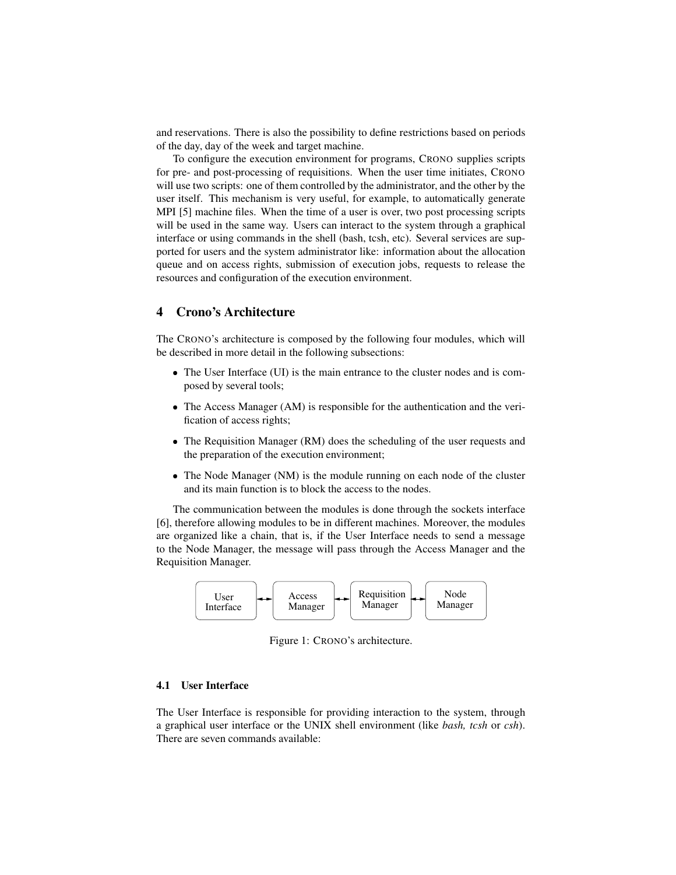and reservations. There is also the possibility to define restrictions based on periods of the day, day of the week and target machine.

To configure the execution environment for programs, CRONO supplies scripts for pre- and post-processing of requisitions. When the user time initiates, CRONO will use two scripts: one of them controlled by the administrator, and the other by the user itself. This mechanism is very useful, for example, to automatically generate MPI [5] machine files. When the time of a user is over, two post processing scripts will be used in the same way. Users can interact to the system through a graphical interface or using commands in the shell (bash, tcsh, etc). Several services are supported for users and the system administrator like: information about the allocation queue and on access rights, submission of execution jobs, requests to release the resources and configuration of the execution environment.

### **4 Crono's Architecture**

The CRONO's architecture is composed by the following four modules, which will be described in more detail in the following subsections:

- The User Interface (UI) is the main entrance to the cluster nodes and is composed by several tools;
- The Access Manager (AM) is responsible for the authentication and the verification of access rights;
- The Requisition Manager (RM) does the scheduling of the user requests and the preparation of the execution environment;
- The Node Manager (NM) is the module running on each node of the cluster and its main function is to block the access to the nodes.

The communication between the modules is done through the sockets interface [6], therefore allowing modules to be in different machines. Moreover, the modules are organized like a chain, that is, if the User Interface needs to send a message to the Node Manager, the message will pass through the Access Manager and the Requisition Manager.



Figure 1: CRONO's architecture.

### **4.1 User Interface**

The User Interface is responsible for providing interaction to the system, through a graphical user interface or the UNIX shell environment (like *bash, tcsh* or *csh*). There are seven commands available: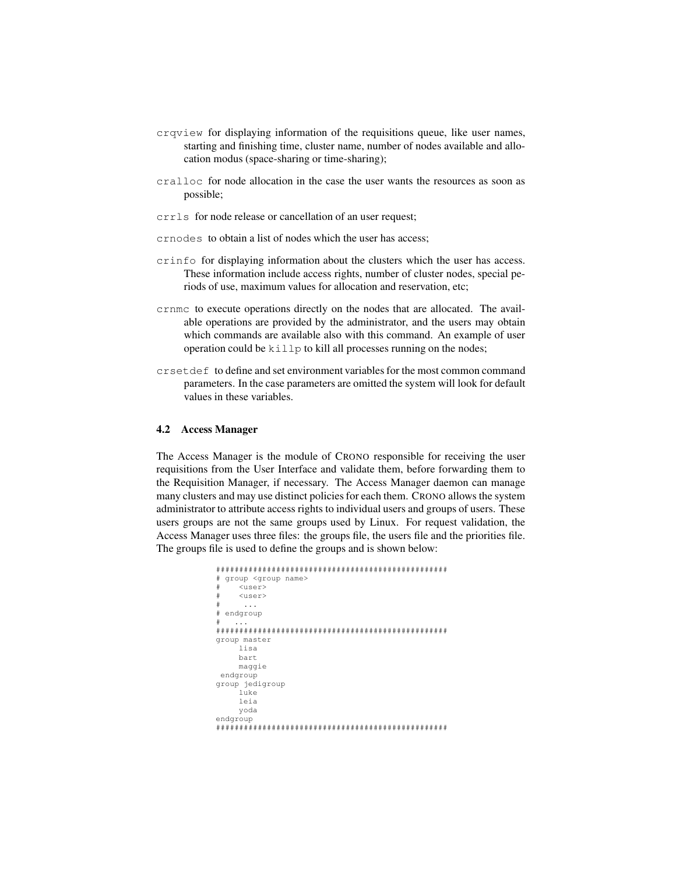- crqview for displaying information of the requisitions queue, like user names, starting and finishing time, cluster name, number of nodes available and allocation modus (space-sharing or time-sharing);
- cralloc for node allocation in the case the user wants the resources as soon as possible;
- crrls for node release or cancellation of an user request;
- crnodes to obtain a list of nodes which the user has access;
- crinfo for displaying information about the clusters which the user has access. These information include access rights, number of cluster nodes, special periods of use, maximum values for allocation and reservation, etc;
- crnmc to execute operations directly on the nodes that are allocated. The available operations are provided by the administrator, and the users may obtain which commands are available also with this command. An example of user operation could be  $k \in \mathbb{R}$  to kill all processes running on the nodes;
- crsetdef to define and set environment variables for the most common command parameters. In the case parameters are omitted the system will look for default values in these variables.

#### **4.2 Access Manager**

The Access Manager is the module of CRONO responsible for receiving the user requisitions from the User Interface and validate them, before forwarding them to the Requisition Manager, if necessary. The Access Manager daemon can manage many clusters and may use distinct policies for each them. CRONO allows the system administrator to attribute access rights to individual users and groups of users. These users groups are not the same groups used by Linux. For request validation, the Access Manager uses three files: the groups file, the users file and the priorities file. The groups file is used to define the groups and is shown below:

```
##################################################
# group <group name>
     # <user>
     <user>
      # ...
# endgroup
\# ...
##################################################
group master
     lisa
    bart
    maggie
endgroup
group jedigroup
     luke
     leia
    yoda
endgroup
##################################################
```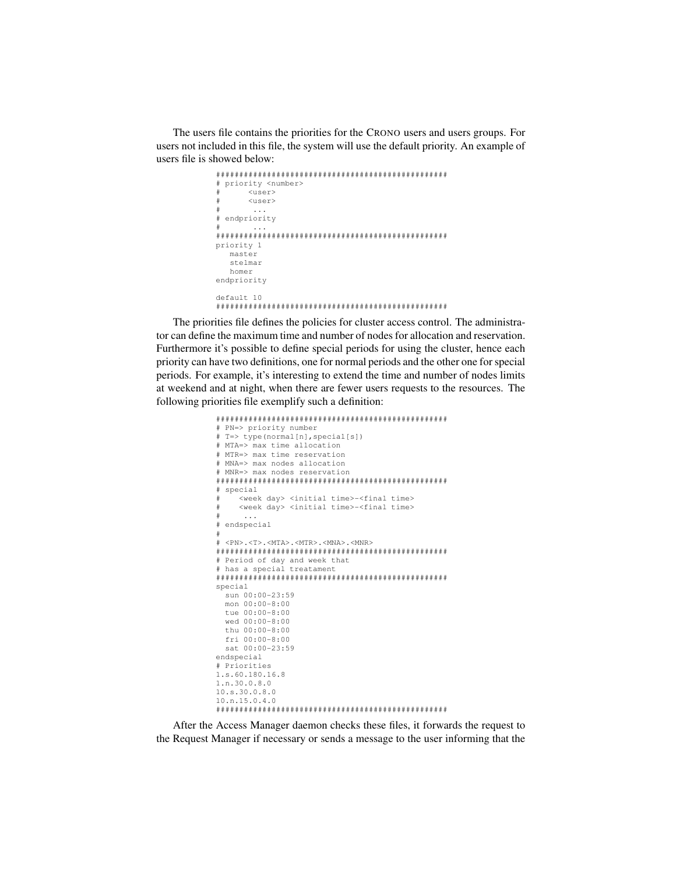The users file contains the priorities for the CRONO users and users groups. For users not included in this file, the system will use the default priority. An example of users file is showed below:

```
##################################################
# priority <number>
        # <user>
        \langleuser\rangle. . . .
# endpriority
# ...
##################################################
priority 1
  master
   stelmar
   homer
endpriority
default 10
##################################################
```
The priorities file defines the policies for cluster access control. The administrator can define the maximum time and number of nodes for allocation and reservation. Furthermore it's possible to define special periods for using the cluster, hence each priority can have two definitions, one for normal periods and the other one for special periods. For example, it's interesting to extend the time and number of nodes limits at weekend and at night, when there are fewer users requests to the resources. The following priorities file exemplify such a definition:

```
##################################################
# PN=> priority number
# T=> type(normal[n],special[s])
# MTA=> max time allocation
# MTR=> max time reservation
# MNA=> max nodes allocation
# MNR=> max nodes reservation
##################################################
# special
     <week day> <initial time>-<final time>
     <week day> <initial time>-<final time>
\# ...
# endspecial
#
# <PN>.<T>.<MTA>.<MTR>.<MNA>.<MNR>
##################################################
# Period of day and week that
# has a special treatament
##################################################
special
 sun 00:00-23:59
 mon 00:00-8:00
 tue 00:00-8:00
  wed 00:00-8:00
 thu 00:00-8:00
 fri 00:00-8:00
 sat 00:00-23:59
endspecial
# Priorities
1.s.60.180.16.8
1.n.30.0.8.0
10.s.30.0.8.0
10.n.15.0.4.0
##################################################
```
After the Access Manager daemon checks these files, it forwards the request to the Request Manager if necessary or sends a message to the user informing that the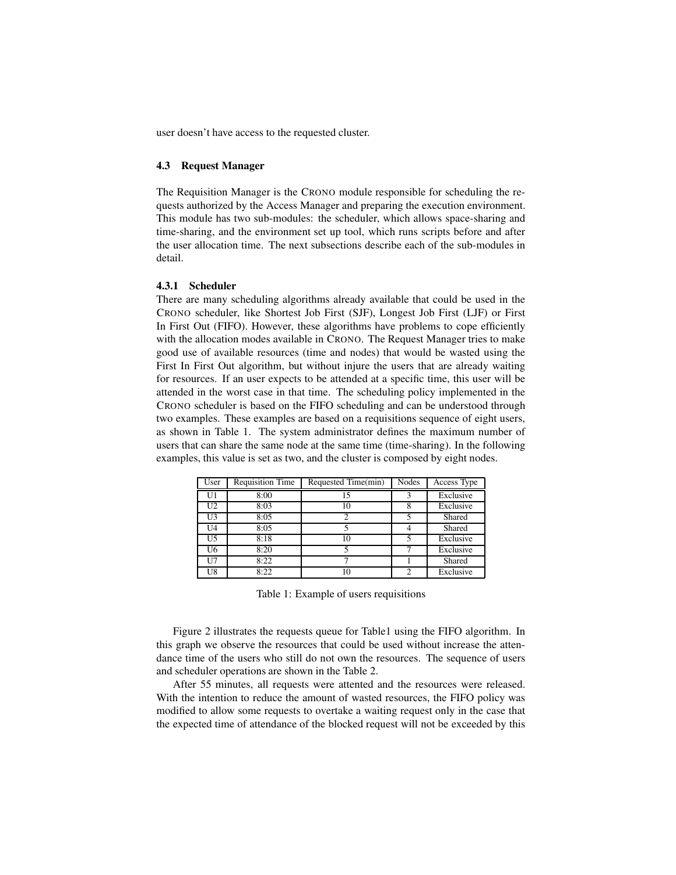user doesn't have access to the requested cluster.

#### **4.3 Request Manager**

The Requisition Manager is the CRONO module responsible for scheduling the requests authorized by the Access Manager and preparing the execution environment. This module has two sub-modules: the scheduler, which allows space-sharing and time-sharing, and the environment set up tool, which runs scripts before and after the user allocation time. The next subsections describe each of the sub-modules in detail.

#### **4.3.1 Scheduler**

There are many scheduling algorithms already available that could be used in the CRONO scheduler, like Shortest Job First (SJF), Longest Job First (LJF) or First In First Out (FIFO). However, these algorithms have problems to cope efficiently with the allocation modes available in CRONO. The Request Manager tries to make good use of available resources (time and nodes) that would be wasted using the First In First Out algorithm, but without injure the users that are already waiting for resources. If an user expects to be attended at a specific time, this user will be attended in the worst case in that time. The scheduling policy implemented in the CRONO scheduler is based on the FIFO scheduling and can be understood through two examples. These examples are based on a requisitions sequence of eight users, as shown in Table 1. The system administrator defines the maximum number of users that can share the same node at the same time (time-sharing). In the following examples, this value is set as two, and the cluster is composed by eight nodes.

| User           | <b>Requisition Time</b> | Requested Time(min) | Nodes | Access Type |
|----------------|-------------------------|---------------------|-------|-------------|
| U <sub>1</sub> | 8:00                    | 15                  | 3     | Exclusive   |
| U <sub>2</sub> | 8:03                    | 10                  |       | Exclusive   |
| U3             | 8:05                    |                     |       | Shared      |
| U4             | 8:05                    |                     |       | Shared      |
| U5             | 8:18                    | 10                  |       | Exclusive   |
| U6             | 8:20                    |                     |       | Exclusive   |
| U7             | 8:22                    |                     |       | Shared      |
| U8             | 8:22                    | 10                  | ◠     | Exclusive   |

Table 1: Example of users requisitions

Figure 2 illustrates the requests queue for Table1 using the FIFO algorithm. In this graph we observe the resources that could be used without increase the attendance time of the users who still do not own the resources. The sequence of users and scheduler operations are shown in the Table 2.

After 55 minutes, all requests were attented and the resources were released. With the intention to reduce the amount of wasted resources, the FIFO policy was modified to allow some requests to overtake a waiting request only in the case that the expected time of attendance of the blocked request will not be exceeded by this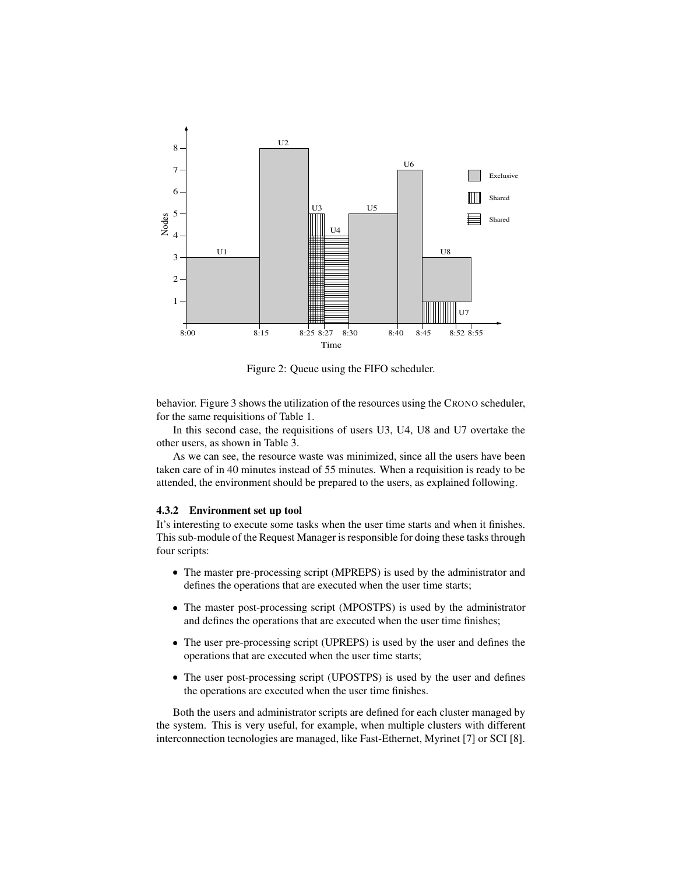

Figure 2: Queue using the FIFO scheduler.

behavior. Figure 3 shows the utilization of the resources using the CRONO scheduler, for the same requisitions of Table 1.

In this second case, the requisitions of users U3, U4, U8 and U7 overtake the other users, as shown in Table 3.

As we can see, the resource waste was minimized, since all the users have been taken care of in 40 minutes instead of 55 minutes. When a requisition is ready to be attended, the environment should be prepared to the users, as explained following.

#### **4.3.2 Environment set up tool**

It's interesting to execute some tasks when the user time starts and when it finishes. This sub-module of the Request Manager is responsible for doing these tasks through four scripts:

- The master pre-processing script (MPREPS) is used by the administrator and defines the operations that are executed when the user time starts;
- The master post-processing script (MPOSTPS) is used by the administrator and defines the operations that are executed when the user time finishes;
- The user pre-processing script (UPREPS) is used by the user and defines the operations that are executed when the user time starts;
- The user post-processing script (UPOSTPS) is used by the user and defines the operations are executed when the user time finishes.

Both the users and administrator scripts are defined for each cluster managed by the system. This is very useful, for example, when multiple clusters with different interconnection tecnologies are managed, like Fast-Ethernet, Myrinet [7] or SCI [8].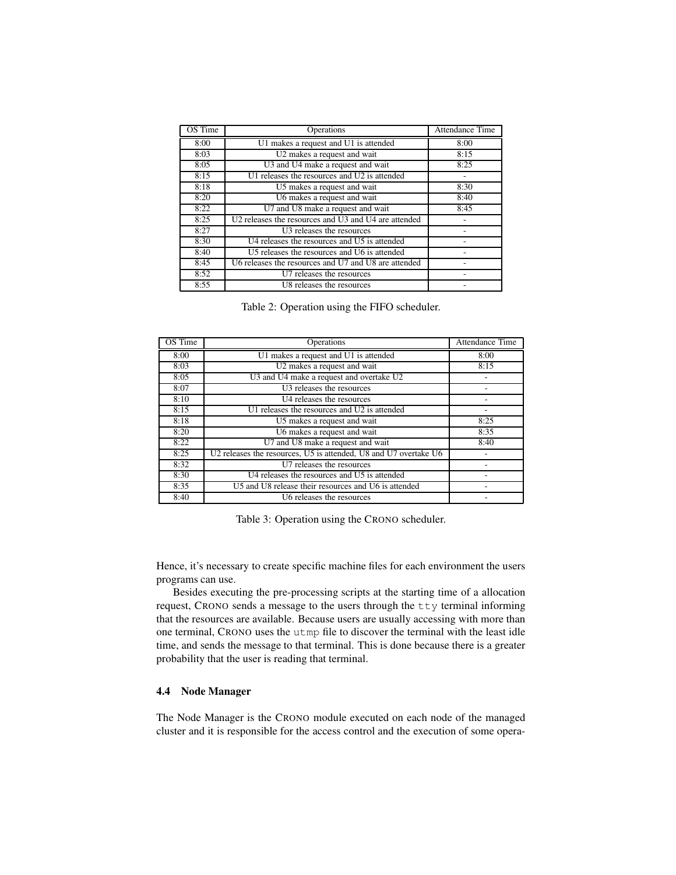| OS Time | Operations                                           | <b>Attendance Time</b> |
|---------|------------------------------------------------------|------------------------|
| 8:00    | U1 makes a request and U1 is attended                | 8:00                   |
| 8:03    | U2 makes a request and wait                          | 8:15                   |
| 8:05    | U3 and U4 make a request and wait                    | 8:25                   |
| 8:15    | U1 releases the resources and U2 is attended         |                        |
| 8:18    | U5 makes a request and wait                          | 8:30                   |
| 8:20    | U6 makes a request and wait                          | 8:40                   |
| 8:22    | U7 and U8 make a request and wait                    | 8:45                   |
| 8:25    | U2 releases the resources and U3 and U4 are attended |                        |
| 8:27    | U3 releases the resources                            |                        |
| 8:30    | U4 releases the resources and U5 is attended         |                        |
| 8:40    | U5 releases the resources and U6 is attended         |                        |
| 8:45    | U6 releases the resources and U7 and U8 are attended |                        |
| 8:52    | U7 releases the resources                            |                        |
| 8:55    | U8 releases the resources                            |                        |

|  | Table 2: Operation using the FIFO scheduler. |  |  |  |  |
|--|----------------------------------------------|--|--|--|--|
|--|----------------------------------------------|--|--|--|--|

| OS Time | Operations                                                       | Attendance Time |
|---------|------------------------------------------------------------------|-----------------|
| 8:00    | U1 makes a request and U1 is attended                            | 8:00            |
| 8:03    | U2 makes a request and wait                                      | 8:15            |
| 8:05    | U3 and U4 make a request and overtake U2                         |                 |
| 8:07    | $\overline{U3}$ releases the resources                           |                 |
| 8:10    | U4 releases the resources                                        |                 |
| 8:15    | U1 releases the resources and U2 is attended                     |                 |
| 8:18    | U5 makes a request and wait                                      | 8:25            |
| 8:20    | U6 makes a request and wait                                      | 8:35            |
| 8:22    | U7 and U8 make a request and wait                                | 8:40            |
| 8:25    | U2 releases the resources, U5 is attended, U8 and U7 overtake U6 |                 |
| 8:32    | U7 releases the resources                                        |                 |
| 8:30    | U4 releases the resources and U5 is attended                     |                 |
| 8:35    | U5 and U8 release their resources and U6 is attended             |                 |
| 8:40    | U6 releases the resources                                        |                 |

Table 3: Operation using the CRONO scheduler.

Hence, it's necessary to create specific machine files for each environment the users programs can use.

Besides executing the pre-processing scripts at the starting time of a allocation request, CRONO sends a message to the users through the tty terminal informing that the resources are available. Because users are usually accessing with more than one terminal, CRONO uses the utmp file to discover the terminal with the least idle time, and sends the message to that terminal. This is done because there is a greater probability that the user is reading that terminal.

### **4.4 Node Manager**

The Node Manager is the CRONO module executed on each node of the managed cluster and it is responsible for the access control and the execution of some opera-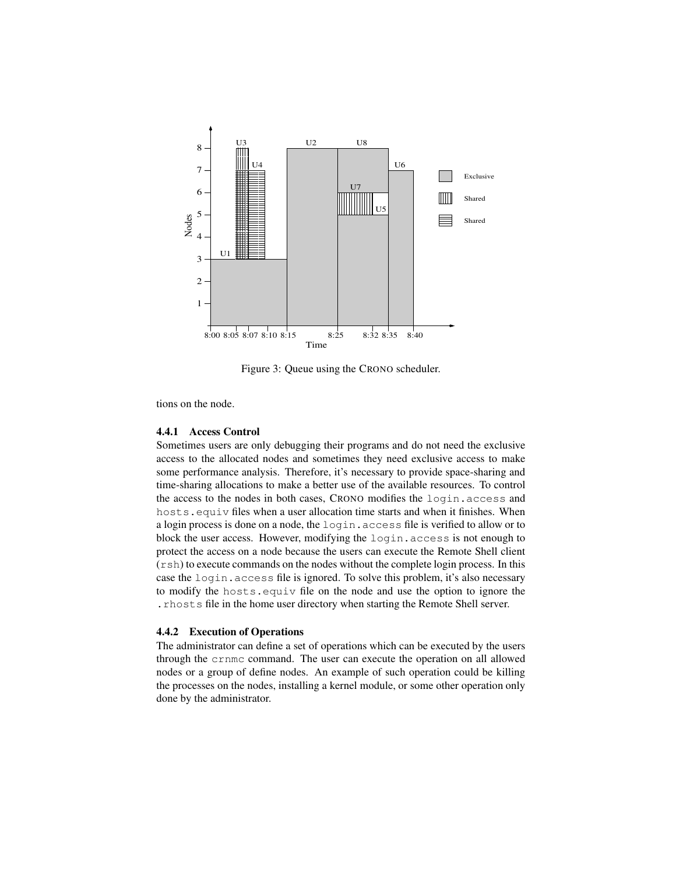

Figure 3: Queue using the CRONO scheduler.

tions on the node.

### **4.4.1 Access Control**

Sometimes users are only debugging their programs and do not need the exclusive access to the allocated nodes and sometimes they need exclusive access to make some performance analysis. Therefore, it's necessary to provide space-sharing and time-sharing allocations to make a better use of the available resources. To control the access to the nodes in both cases, CRONO modifies the login.access and hosts.equiv files when a user allocation time starts and when it finishes. When a login process is done on a node, the login.access file is verified to allow or to block the user access. However, modifying the login.access is not enough to protect the access on a node because the users can execute the Remote Shell client (rsh) to execute commands on the nodes without the complete login process. In this case the login.access file is ignored. To solve this problem, it's also necessary to modify the hosts.equiv file on the node and use the option to ignore the .rhosts file in the home user directory when starting the Remote Shell server.

#### **4.4.2 Execution of Operations**

The administrator can define a set of operations which can be executed by the users through the crnmc command. The user can execute the operation on all allowed nodes or a group of define nodes. An example of such operation could be killing the processes on the nodes, installing a kernel module, or some other operation only done by the administrator.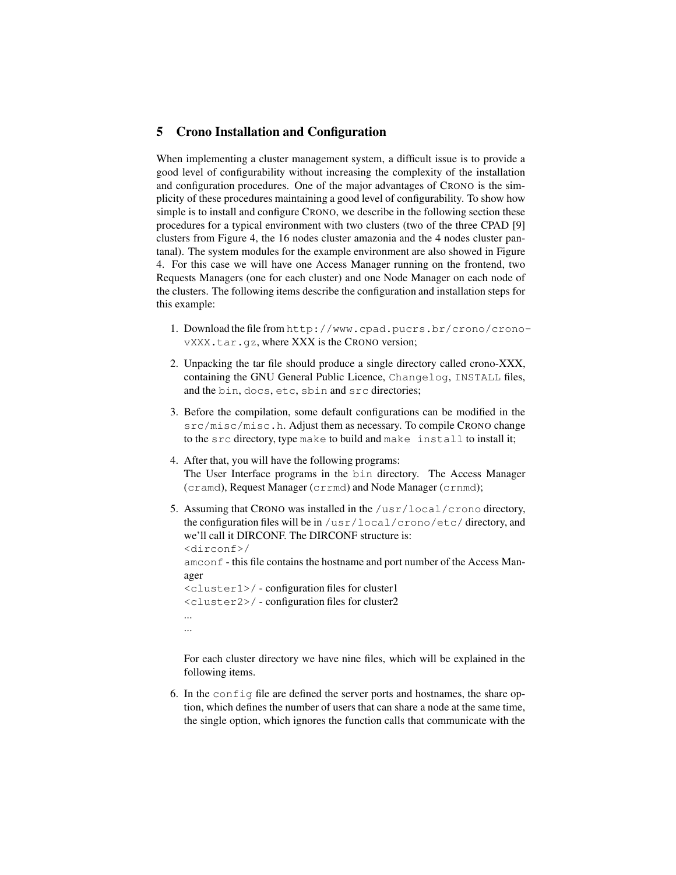### **5 Crono Installation and Configuration**

When implementing a cluster management system, a difficult issue is to provide a good level of configurability without increasing the complexity of the installation and configuration procedures. One of the major advantages of CRONO is the simplicity of these procedures maintaining a good level of configurability. To show how simple is to install and configure CRONO, we describe in the following section these procedures for a typical environment with two clusters (two of the three CPAD [9] clusters from Figure 4, the 16 nodes cluster amazonia and the 4 nodes cluster pantanal). The system modules for the example environment are also showed in Figure 4. For this case we will have one Access Manager running on the frontend, two Requests Managers (one for each cluster) and one Node Manager on each node of the clusters. The following items describe the configuration and installation steps for this example:

- 1. Download the file from http://www.cpad.pucrs.br/crono/cronovXXX.tar.gz, where XXX is the CRONO version;
- 2. Unpacking the tar file should produce a single directory called crono-XXX, containing the GNU General Public Licence, Changelog, INSTALL files, and the bin, docs, etc, sbin and src directories;
- 3. Before the compilation, some default configurations can be modified in the src/misc/misc.h. Adjust them as necessary. To compile CRONO change to the src directory, type make to build and make install to install it;
- 4. After that, you will have the following programs: The User Interface programs in the bin directory. The Access Manager (cramd), Request Manager (crrmd) and Node Manager (crnmd);
- 5. Assuming that CRONO was installed in the /usr/local/crono directory, the configuration files will be in /usr/local/crono/etc/ directory, and we'll call it DIRCONF. The DIRCONF structure is: <dirconf>/ amconf - this file contains the hostname and port number of the Access Manager <cluster1>/ - configuration files for cluster1 <cluster2>/ - configuration files for cluster2 ... ...

For each cluster directory we have nine files, which will be explained in the following items.

6. In the config file are defined the server ports and hostnames, the share option, which defines the number of users that can share a node at the same time, the single option, which ignores the function calls that communicate with the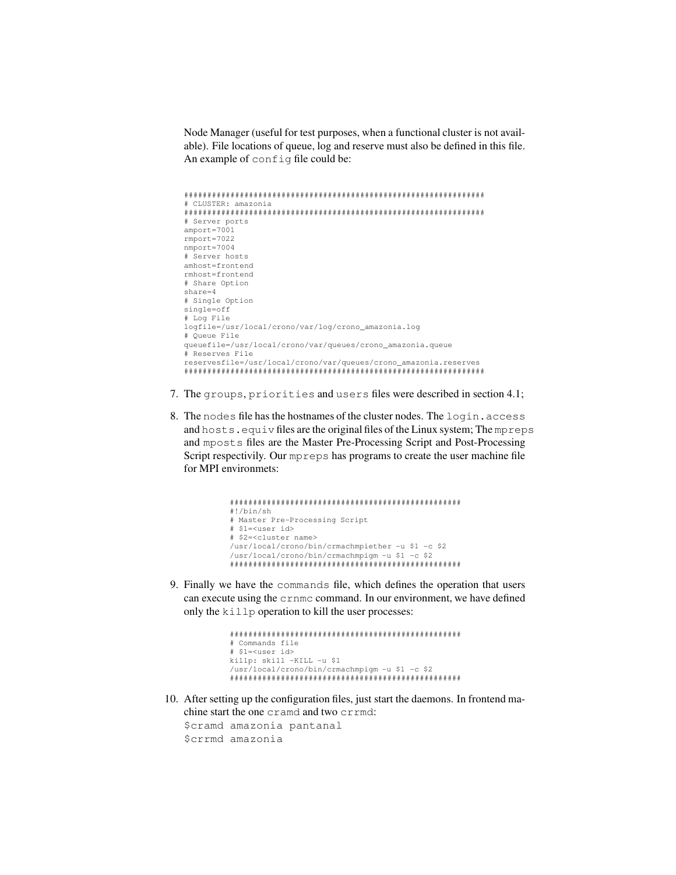Node Manager (useful for test purposes, when a functional cluster is not available). File locations of queue, log and reserve must also be defined in this file. An example of config file could be:

```
#################################################################
# CLUSTER: amazonia
#################################################################
# Server ports
amport=7001
rmport=7022
nmport=7004
# Server hosts
amhost=frontend
rmhost=frontend
# Share Option
share=4
# Single Option
single=off
# Log File
logfile=/usr/local/crono/var/log/crono_amazonia.log
# Queue File
queuefile=/usr/local/crono/var/queues/crono_amazonia.queue
# Reserves File
reservesfile=/usr/local/crono/var/queues/crono_amazonia.reserves
#################################################################
```
- 7. The groups, priorities and users files were described in section 4.1;
- 8. The nodes file has the hostnames of the cluster nodes. The login.access and hosts.equiv files are the original files of the Linux system; The mpreps and mposts files are the Master Pre-Processing Script and Post-Processing Script respectivily. Our mpreps has programs to create the user machine file for MPI environmets:

```
##################################################
#!/bin/sh
# Master Pre-Processing Script
# $1=<user id>
# $2=<cluster name>
/usr/local/crono/bin/crmachmpiether -u $1 -c $2
/usr/local/crono/bin/crmachmpigm -u $1 -c $2
##################################################
```
9. Finally we have the commands file, which defines the operation that users can execute using the crnmc command. In our environment, we have defined only the killp operation to kill the user processes:

```
##################################################
# Commands file
# $1=<user id>
killp: skill -KILL -u $1
/usr/local/crono/bin/crmachmpigm -u $1 -c $2
##################################################
```
10. After setting up the configuration files, just start the daemons. In frontend machine start the one cramd and two crrmd:

```
$cramd amazonia pantanal
$crrmd amazonia
```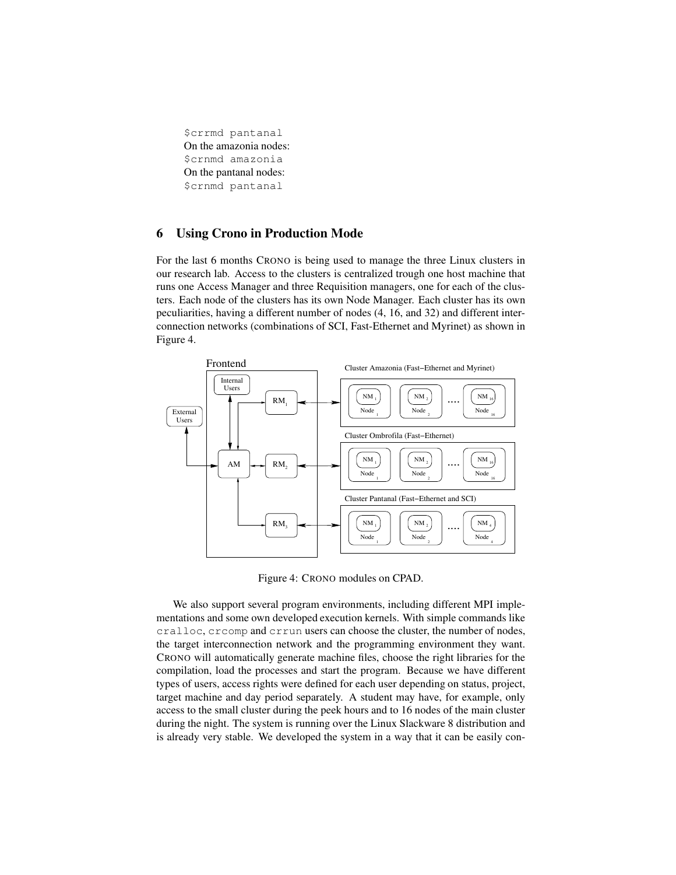\$crrmd pantanal On the amazonia nodes: \$crnmd amazonia On the pantanal nodes: \$crnmd pantanal

# **6 Using Crono in Production Mode**

For the last 6 months CRONO is being used to manage the three Linux clusters in our research lab. Access to the clusters is centralized trough one host machine that runs one Access Manager and three Requisition managers, one for each of the clusters. Each node of the clusters has its own Node Manager. Each cluster has its own peculiarities, having a different number of nodes (4, 16, and 32) and different interconnection networks (combinations of SCI, Fast-Ethernet and Myrinet) as shown in Figure 4.



Figure 4: CRONO modules on CPAD.

We also support several program environments, including different MPI implementations and some own developed execution kernels. With simple commands like cralloc, crcomp and crrun users can choose the cluster, the number of nodes, the target interconnection network and the programming environment they want. CRONO will automatically generate machine files, choose the right libraries for the compilation, load the processes and start the program. Because we have different types of users, access rights were defined for each user depending on status, project, target machine and day period separately. A student may have, for example, only access to the small cluster during the peek hours and to 16 nodes of the main cluster during the night. The system is running over the Linux Slackware 8 distribution and is already very stable. We developed the system in a way that it can be easily con